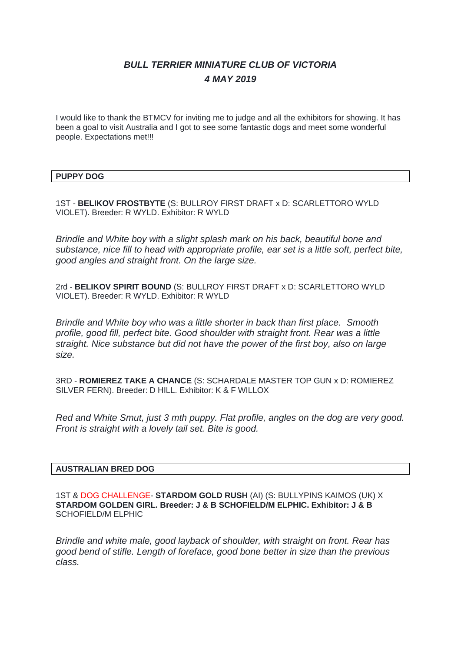# *BULL TERRIER MINIATURE CLUB OF VICTORIA 4 MAY 2019*

I would like to thank the BTMCV for inviting me to judge and all the exhibitors for showing. It has been a goal to visit Australia and I got to see some fantastic dogs and meet some wonderful people. Expectations met!!!

# **PUPPY DOG**

1ST - **BELIKOV FROSTBYTE** (S: BULLROY FIRST DRAFT x D: SCARLETTORO WYLD VIOLET). Breeder: R WYLD. Exhibitor: R WYLD

*Brindle and White boy with a slight splash mark on his back, beautiful bone and substance, nice fill to head with appropriate profile, ear set is a little soft, perfect bite, good angles and straight front. On the large size.*

2rd - **BELIKOV SPIRIT BOUND** (S: BULLROY FIRST DRAFT x D: SCARLETTORO WYLD VIOLET). Breeder: R WYLD. Exhibitor: R WYLD

*Brindle and White boy who was a little shorter in back than first place. Smooth profile, good fill, perfect bite. Good shoulder with straight front. Rear was a little straight. Nice substance but did not have the power of the first boy, also on large size.*

3RD - **ROMIEREZ TAKE A CHANCE** (S: SCHARDALE MASTER TOP GUN x D: ROMIEREZ SILVER FERN). Breeder: D HILL. Exhibitor: K & F WILLOX

*Red and White Smut, just 3 mth puppy. Flat profile, angles on the dog are very good. Front is straight with a lovely tail set. Bite is good.*

## **AUSTRALIAN BRED DOG**

1ST & DOG CHALLENGE- **STARDOM GOLD RUSH** (AI) (S: BULLYPINS KAIMOS (UK) X **STARDOM GOLDEN GIRL. Breeder: J & B SCHOFIELD/M ELPHIC. Exhibitor: J & B** SCHOFIELD/M ELPHIC

*Brindle and white male, good layback of shoulder, with straight on front. Rear has good bend of stifle. Length of foreface, good bone better in size than the previous class.*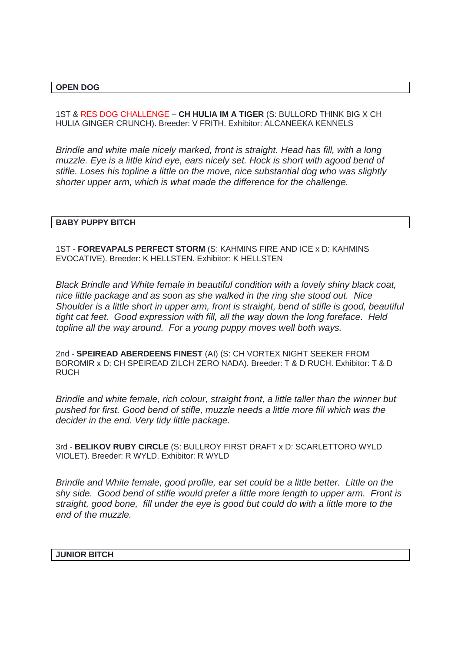## **OPEN DOG**

1ST & RES DOG CHALLENGE – **CH HULIA IM A TIGER** (S: BULLORD THINK BIG X CH HULIA GINGER CRUNCH). Breeder: V FRITH. Exhibitor: ALCANEEKA KENNELS

*Brindle and white male nicely marked, front is straight. Head has fill, with a long muzzle. Eye is a little kind eye, ears nicely set. Hock is short with agood bend of stifle. Loses his topline a little on the move, nice substantial dog who was slightly shorter upper arm, which is what made the difference for the challenge.* 

#### **BABY PUPPY BITCH**

1ST - **FOREVAPALS PERFECT STORM** (S: KAHMINS FIRE AND ICE x D: KAHMINS EVOCATIVE). Breeder: K HELLSTEN. Exhibitor: K HELLSTEN

*Black Brindle and White female in beautiful condition with a lovely shiny black coat, nice little package and as soon as she walked in the ring she stood out. Nice Shoulder is a little short in upper arm, front is straight, bend of stifle is good, beautiful tight cat feet. Good expression with fill, all the way down the long foreface. Held topline all the way around. For a young puppy moves well both ways.*

2nd - **SPEIREAD ABERDEENS FINEST** (AI) (S: CH VORTEX NIGHT SEEKER FROM BOROMIR x D: CH SPEIREAD ZILCH ZERO NADA). Breeder: T & D RUCH. Exhibitor: T & D RUCH

*Brindle and white female, rich colour, straight front, a little taller than the winner but pushed for first. Good bend of stifle, muzzle needs a little more fill which was the decider in the end. Very tidy little package.*

3rd - **BELIKOV RUBY CIRCLE** (S: BULLROY FIRST DRAFT x D: SCARLETTORO WYLD VIOLET). Breeder: R WYLD. Exhibitor: R WYLD

*Brindle and White female, good profile, ear set could be a little better. Little on the shy side. Good bend of stifle would prefer a little more length to upper arm. Front is straight, good bone, fill under the eye is good but could do with a little more to the end of the muzzle.*

### **JUNIOR BITCH**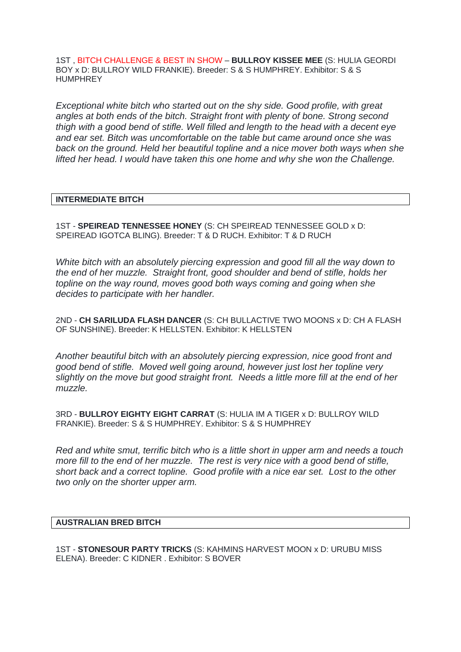1ST , BITCH CHALLENGE & BEST IN SHOW – **BULLROY KISSEE MEE** (S: HULIA GEORDI BOY x D: BULLROY WILD FRANKIE). Breeder: S & S HUMPHREY. Exhibitor: S & S HUMPHREY

*Exceptional white bitch who started out on the shy side. Good profile, with great angles at both ends of the bitch. Straight front with plenty of bone. Strong second thigh with a good bend of stifle. Well filled and length to the head with a decent eye and ear set. Bitch was uncomfortable on the table but came around once she was back on the ground. Held her beautiful topline and a nice mover both ways when she lifted her head. I would have taken this one home and why she won the Challenge.*

# **INTERMEDIATE BITCH**

1ST - **SPEIREAD TENNESSEE HONEY** (S: CH SPEIREAD TENNESSEE GOLD x D: SPEIREAD IGOTCA BLING). Breeder: T & D RUCH. Exhibitor: T & D RUCH

*White bitch with an absolutely piercing expression and good fill all the way down to the end of her muzzle. Straight front, good shoulder and bend of stifle, holds her topline on the way round, moves good both ways coming and going when she decides to participate with her handler.*

2ND - **CH SARILUDA FLASH DANCER** (S: CH BULLACTIVE TWO MOONS x D: CH A FLASH OF SUNSHINE). Breeder: K HELLSTEN. Exhibitor: K HELLSTEN

*Another beautiful bitch with an absolutely piercing expression, nice good front and good bend of stifle. Moved well going around, however just lost her topline very slightly on the move but good straight front. Needs a little more fill at the end of her muzzle.*

3RD - **BULLROY EIGHTY EIGHT CARRAT** (S: HULIA IM A TIGER x D: BULLROY WILD FRANKIE). Breeder: S & S HUMPHREY. Exhibitor: S & S HUMPHREY

*Red and white smut, terrific bitch who is a little short in upper arm and needs a touch more fill to the end of her muzzle. The rest is very nice with a good bend of stifle, short back and a correct topline. Good profile with a nice ear set. Lost to the other two only on the shorter upper arm.*

## **AUSTRALIAN BRED BITCH**

1ST - **STONESOUR PARTY TRICKS** (S: KAHMINS HARVEST MOON x D: URUBU MISS ELENA). Breeder: C KIDNER . Exhibitor: S BOVER